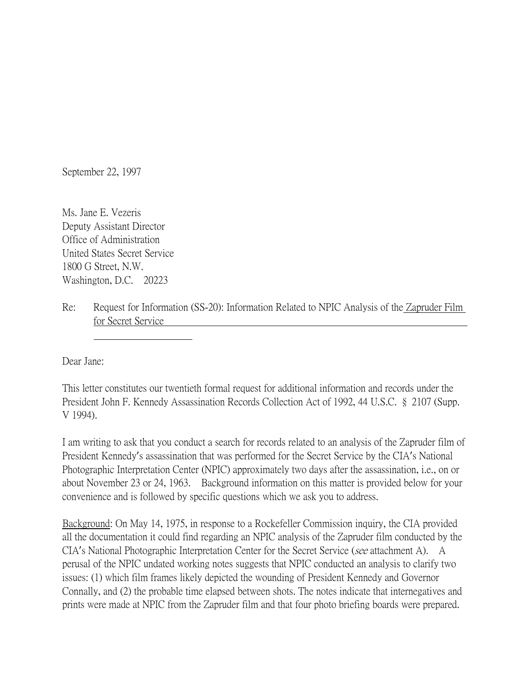September 22, 1997

Ms. Jane E. Vezeris Deputy Assistant Director Office of Administration United States Secret Service 1800 G Street, N.W. Washington, D.C. 20223

Re: Request for Information (SS-20): Information Related to NPIC Analysis of the Zapruder Film for Secret Service

Dear Jane:

This letter constitutes our twentieth formal request for additional information and records under the President John F. Kennedy Assassination Records Collection Act of 1992, 44 U.S.C. § 2107 (Supp. V 1994).

I am writing to ask that you conduct a search for records related to an analysis of the Zapruder film of President Kennedy's assassination that was performed for the Secret Service by the CIA's National Photographic Interpretation Center (NPIC) approximately two days after the assassination, i.e., on or about November 23 or 24, 1963. Background information on this matter is provided below for your convenience and is followed by specific questions which we ask you to address.

Background: On May 14, 1975, in response to a Rockefeller Commission inquiry, the CIA provided all the documentation it could find regarding an NPIC analysis of the Zapruder film conducted by the CIA's National Photographic Interpretation Center for the Secret Service (see attachment A). A perusal of the NPIC undated working notes suggests that NPIC conducted an analysis to clarify two issues: (1) which film frames likely depicted the wounding of President Kennedy and Governor Connally, and (2) the probable time elapsed between shots. The notes indicate that internegatives and prints were made at NPIC from the Zapruder film and that four photo briefing boards were prepared.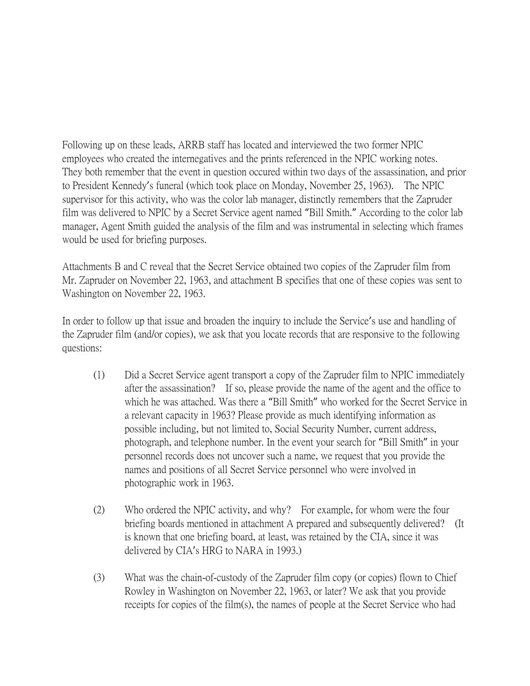Following up on these leads, ARRB staff has located and interviewed the two former NPIC employees who created the internegatives and the prints referenced in the NPIC working notes. They both remember that the event in question occured within two days of the assassination, and prior to President Kennedy's funeral (which took place on Monday, November 25, 1963). The NPIC supervisor for this activity, who was the color lab manager, distinctly remembers that the Zapruder film was delivered to NPIC by a Secret Service agent named "Bill Smith." According to the color lab manager, Agent Smith guided the analysis of the film and was instrumental in selecting which frames would be used for briefing purposes.

Attachments B and C reveal that the Secret Service obtained two copies of the Zapruder film from Mr. Zapruder on November 22, 1963, and attachment B specifies that one of these copies was sent to Washington on November 22, 1963.

In order to follow up that issue and broaden the inquiry to include the Service's use and handling of the Zapruder film (and/or copies), we ask that you locate records that are responsive to the following questions:

- (1) Did a Secret Service agent transport a copy of the Zapruder film to NPIC immediately after the assassination? If so, please provide the name of the agent and the office to which he was attached. Was there a "Bill Smith" who worked for the Secret Service in a relevant capacity in 1963? Please provide as much identifying information as possible including, but not limited to, Social Security Number, current address, photograph, and telephone number. In the event your search for "Bill Smith" in your personnel records does not uncover such a name, we request that you provide the names and positions of all Secret Service personnel who were involved in photographic work in 1963.
- (2) Who ordered the NPIC activity, and why? For example, for whom were the four briefing boards mentioned in attachment A prepared and subsequently delivered? (It is known that one briefing board, at least, was retained by the CIA, since it was delivered by CIA's HRG to NARA in 1993.)
- (3) What was the chain-of-custody of the Zapruder film copy (or copies) flown to Chief Rowley in Washington on November 22, 1963, or later? We ask that you provide receipts for copies of the film(s), the names of people at the Secret Service who had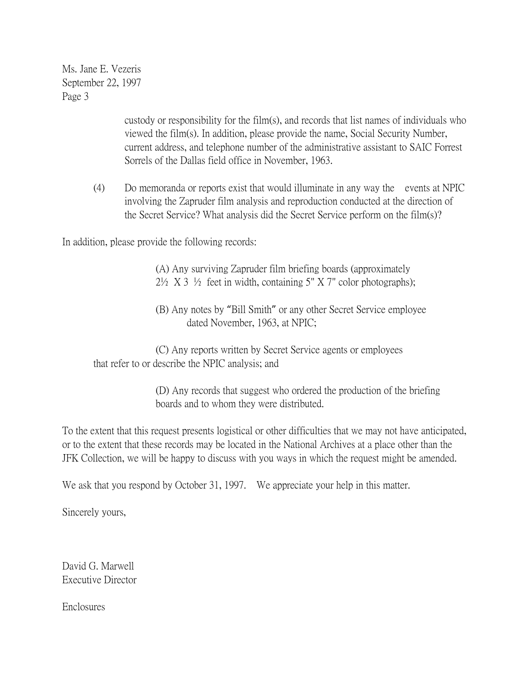Ms. Jane E. Vezeris September 22, 1997 Page 3

> custody or responsibility for the film(s), and records that list names of individuals who viewed the film(s). In addition, please provide the name, Social Security Number, current address, and telephone number of the administrative assistant to SAIC Forrest Sorrels of the Dallas field office in November, 1963.

(4) Do memoranda or reports exist that would illuminate in any way the events at NPIC involving the Zapruder film analysis and reproduction conducted at the direction of the Secret Service? What analysis did the Secret Service perform on the film(s)?

In addition, please provide the following records:

(A) Any surviving Zapruder film briefing boards (approximately  $2\frac{1}{2}$  X 3  $\frac{1}{2}$  feet in width, containing 5" X 7" color photographs);

(B) Any notes by "Bill Smith" or any other Secret Service employee dated November, 1963, at NPIC;

(C) Any reports written by Secret Service agents or employees that refer to or describe the NPIC analysis; and

> (D) Any records that suggest who ordered the production of the briefing boards and to whom they were distributed.

To the extent that this request presents logistical or other difficulties that we may not have anticipated, or to the extent that these records may be located in the National Archives at a place other than the JFK Collection, we will be happy to discuss with you ways in which the request might be amended.

We ask that you respond by October 31, 1997. We appreciate your help in this matter.

Sincerely yours,

David G. Marwell Executive Director

Enclosures